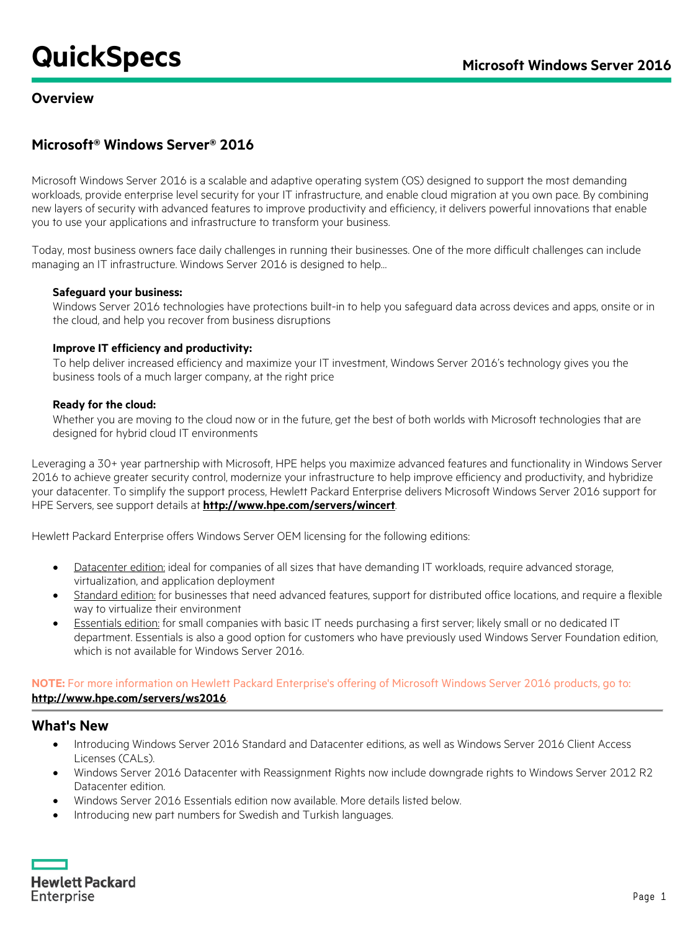# **Microsoft® Windows Server® 2016**

Microsoft Windows Server 2016 is a scalable and adaptive operating system (OS) designed to support the most demanding workloads, provide enterprise level security for your IT infrastructure, and enable cloud migration at you own pace. By combining new layers of security with advanced features to improve productivity and efficiency, it delivers powerful innovations that enable you to use your applications and infrastructure to transform your business.

Today, most business owners face daily challenges in running their businesses. One of the more difficult challenges can include managing an IT infrastructure. Windows Server 2016 is designed to help…

### **Safeguard your business:**

Windows Server 2016 technologies have protections built-in to help you safeguard data across devices and apps, onsite or in the cloud, and help you recover from business disruptions

### **Improve IT efficiency and productivity:**

To help deliver increased efficiency and maximize your IT investment, Windows Server 2016's technology gives you the business tools of a much larger company, at the right price

### **Ready for the cloud:**

Whether you are moving to the cloud now or in the future, get the best of both worlds with Microsoft technologies that are designed for hybrid cloud IT environments

Leveraging a 30+ year partnership with Microsoft, HPE helps you maximize advanced features and functionality in Windows Server 2016 to achieve greater security control, modernize your infrastructure to help improve efficiency and productivity, and hybridize your datacenter. To simplify the support process, Hewlett Packard Enterprise delivers Microsoft Windows Server 2016 support for HPE Servers, see support details at **<http://www.hpe.com/servers/wincert>**.

Hewlett Packard Enterprise offers Windows Server OEM licensing for the following editions:

- Datacenter edition: ideal for companies of all sizes that have demanding IT workloads, require advanced storage, virtualization, and application deployment
- Standard edition: for businesses that need advanced features, support for distributed office locations, and require a flexible way to virtualize their environment
- Essentials edition: for small companies with basic IT needs purchasing a first server; likely small or no dedicated IT department. Essentials is also a good option for customers who have previously used Windows Server Foundation edition, which is not available for Windows Server 2016.

### **NOTE:** For more information on Hewlett Packard Enterprise's offering of Microsoft Windows Server 2016 products, go to: **<http://www.hpe.com/servers/ws2016>**.

### **What's New**

- Introducing Windows Server 2016 Standard and Datacenter editions, as well as Windows Server 2016 Client Access Licenses (CALs).
- Windows Server 2016 Datacenter with Reassignment Rights now include downgrade rights to Windows Server 2012 R2 Datacenter edition.
- Windows Server 2016 Essentials edition now available. More details listed below.
- Introducing new part numbers for Swedish and Turkish languages.

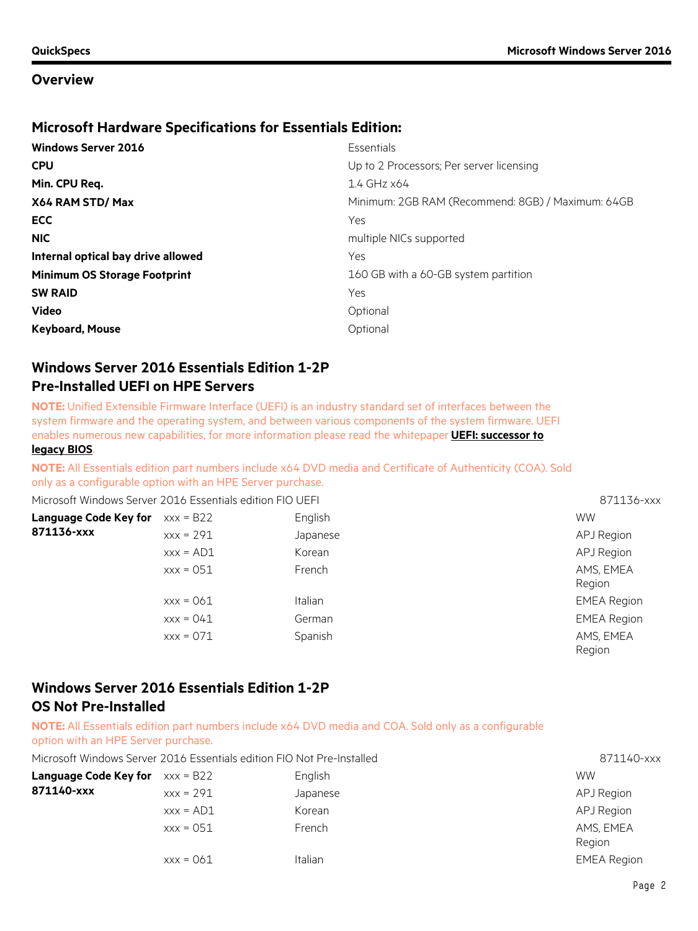### **Microsoft Hardware Specifications for Essentials Edition:**

| <b>Windows Server 2016</b>          | Essentials                                        |
|-------------------------------------|---------------------------------------------------|
| <b>CPU</b>                          | Up to 2 Processors; Per server licensing          |
| Min. CPU Req.                       | 1.4 GHz x64                                       |
| X64 RAM STD/Max                     | Minimum: 2GB RAM (Recommend: 8GB) / Maximum: 64GB |
| <b>ECC</b>                          | Yes                                               |
| <b>NIC</b>                          | multiple NICs supported                           |
| Internal optical bay drive allowed  | Yes                                               |
| <b>Minimum OS Storage Footprint</b> | 160 GB with a 60-GB system partition              |
| <b>SW RAID</b>                      | Yes                                               |
| <b>Video</b>                        | Optional                                          |
| <b>Keyboard, Mouse</b>              | Optional                                          |

## **Windows Server 2016 Essentials Edition 1-2P Pre-Installed UEFI on HPE Servers**

**NOTE:** Unified Extensible Firmware Interface (UEFI) is an industry standard set of interfaces between the system firmware and the operating system, and between various components of the system firmware. UEFI enables numerous new capabilities, for more information please read the whitepaper **[UEFI: successor to](https://www.hpe.com/h20195/V2/GetDocument.aspx?docname=4AA5-1111ENW&cc=us&lc=en)  [legacy BIOS](https://www.hpe.com/h20195/V2/GetDocument.aspx?docname=4AA5-1111ENW&cc=us&lc=en)**.

**NOTE:** All Essentials edition part numbers include x64 DVD media and Certificate of Authenticity (COA). Sold

only as a configurable option with an HPE Server purchase.

| Microsoft Windows Server 2016 Essentials edition FIO UEFI |             |                | 871136-xxx          |
|-----------------------------------------------------------|-------------|----------------|---------------------|
| <b>Language Code Key for</b>                              | $xxx = B22$ | English        | <b>WW</b>           |
| 871136-xxx                                                | $XXX = 291$ | Japanese       | APJ Region          |
|                                                           | $XXX = AD1$ | Korean         | APJ Region          |
|                                                           | $xxx = 051$ | French         | AMS, EMEA<br>Region |
|                                                           | $xxx = 061$ | <b>Italian</b> | <b>EMEA Region</b>  |
|                                                           | $XXX = 041$ | German         | <b>EMEA Region</b>  |
|                                                           | $XXX = 071$ | Spanish        | AMS, EMEA<br>Region |

## **Windows Server 2016 Essentials Edition 1-2P OS Not Pre-Installed**

**NOTE:** All Essentials edition part numbers include x64 DVD media and COA. Sold only as a configurable option with an HPE Server purchase.

| Microsoft Windows Server 2016 Essentials edition FIO Not Pre-Installed | 871140-xxx |
|------------------------------------------------------------------------|------------|
|------------------------------------------------------------------------|------------|

| <b>Language Code Key for</b> $xxx = B22$ |             | English  | <b>WW</b>           |
|------------------------------------------|-------------|----------|---------------------|
| 871140-xxx                               | $xxx = 291$ | Japanese | APJ Region          |
|                                          | $XXX = AD1$ | Korean   | APJ Region          |
|                                          | $xxx = 051$ | French   | AMS, EMEA<br>Region |
|                                          | $xxx = 061$ | Italian  | <b>EMEA Region</b>  |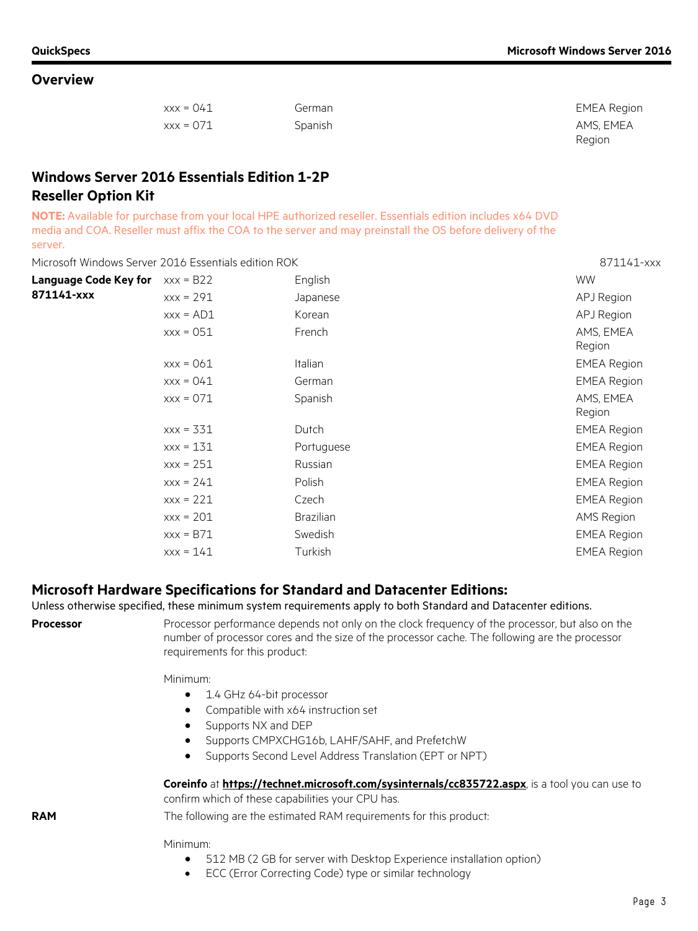| $XXX = 041$ | German  | EMEA Region |
|-------------|---------|-------------|
| $xxx = 071$ | Spanish | AMS. EMEA   |

# **Windows Server 2016 Essentials Edition 1-2P Reseller Option Kit**

**NOTE:** Available for purchase from your local HPE authorized reseller. Essentials edition includes x64 DVD media and COA. Reseller must affix the COA to the server and may preinstall the OS before delivery of the server.

Microsoft Windows Server 2016 Essentials edition ROK 871141-xxx

| <b>Language Code Key for</b> | $xxx = B22$ | English          | <b>WW</b>           |
|------------------------------|-------------|------------------|---------------------|
| 871141-xxx                   | $XXX = 291$ | Japanese         | APJ Region          |
|                              | $XXX = AD1$ | Korean           | APJ Region          |
|                              | $xxx = 051$ | French           | AMS, EMEA<br>Region |
|                              | $XXX = 061$ | <b>Italian</b>   | <b>EMEA Region</b>  |
|                              | $XXX = 041$ | German           | <b>EMEA Region</b>  |
|                              | $XXX = 071$ | Spanish          | AMS, EMEA<br>Region |
|                              | $XXX = 331$ | Dutch            | <b>EMEA Region</b>  |
|                              | $XXX = 131$ | Portuguese       | <b>EMEA Region</b>  |
|                              | $xxx = 251$ | Russian          | <b>EMEA Region</b>  |
|                              | $XXX = 241$ | Polish           | <b>EMEA Region</b>  |
|                              | $XXX = 221$ | Czech            | <b>EMEA Region</b>  |
|                              | $XXX = 201$ | <b>Brazilian</b> | AMS Region          |
|                              | $XXX = B71$ | Swedish          | <b>EMEA Region</b>  |
|                              | $XXX = 141$ | Turkish          | <b>EMEA Region</b>  |
|                              |             |                  |                     |

### **Microsoft Hardware Specifications for Standard and Datacenter Editions:**

Unless otherwise specified, these minimum system requirements apply to both Standard and Datacenter editions.

**Processor** Processor performance depends not only on the clock frequency of the processor, but also on the number of processor cores and the size of the processor cache. The following are the processor requirements for this product:

Minimum:

- 1.4 GHz 64-bit processor
- Compatible with x64 instruction set
- Supports NX and DEP
- Supports CMPXCHG16b, LAHF/SAHF, and PrefetchW
- Supports Second Level Address Translation (EPT or NPT)

### **Coreinfo** at **<https://technet.microsoft.com/sysinternals/cc835722.aspx>**, is a tool you can use to

confirm which of these capabilities your CPU has.

**RAM** The following are the estimated RAM requirements for this product:

Minimum:

- 512 MB (2 GB for server with Desktop Experience installation option)
- ECC (Error Correcting Code) type or similar technology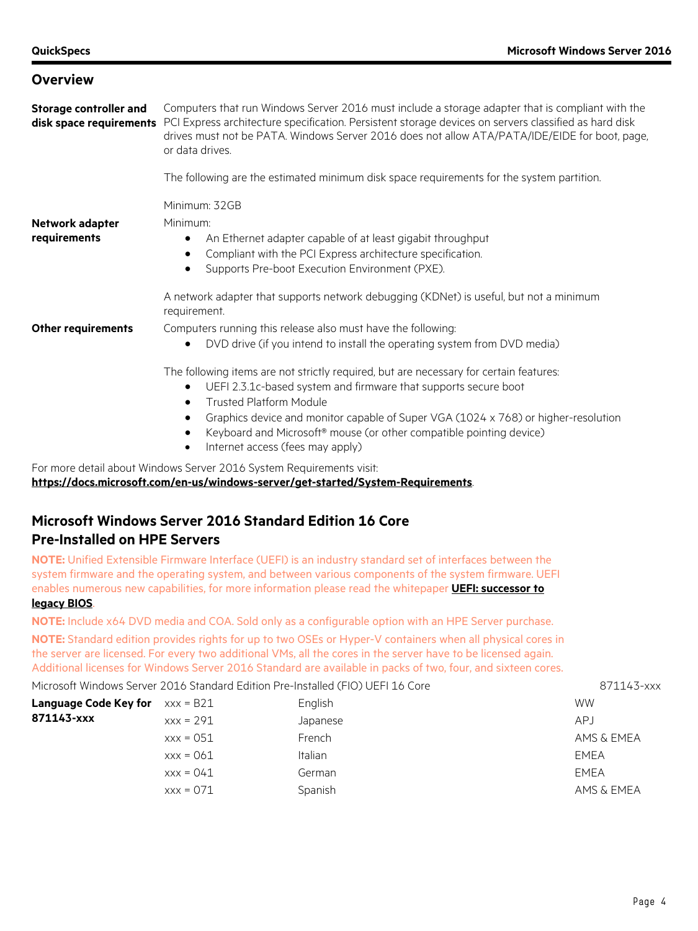**Storage controller and disk space requirements** PCI Express architecture specification. Persistent storage devices on servers classified as hard disk Computers that run Windows Server 2016 must include a storage adapter that is compliant with the drives must not be PATA. Windows Server 2016 does not allow ATA/PATA/IDE/EIDE for boot, page, or data drives.

The following are the estimated minimum disk space requirements for the system partition.

Minimum: 32GB Minimum:

#### **Network adapter requirements**

- An Ethernet adapter capable of at least gigabit throughput
- Compliant with the PCI Express architecture specification.
- Supports Pre-boot Execution Environment (PXE).

A network adapter that supports network debugging (KDNet) is useful, but not a minimum requirement.

- **Other requirements** Computers running this release also must have the following:
	- DVD drive (if you intend to install the operating system from DVD media)

The following items are not strictly required, but are necessary for certain features:

- UEFI 2.3.1c-based system and firmware that supports secure boot
- Trusted Platform Module
- Graphics device and monitor capable of Super VGA (1024 x 768) or higher-resolution
- Keyboard and Microsoft® mouse (or other compatible pointing device)
- Internet access (fees may apply)

For more detail about Windows Server 2016 System Requirements visit:

**https://docs.microsoft.com/en-us/windows-server/get-started/System-Requirements**.

# **Microsoft Windows Server 2016 Standard Edition 16 Core Pre-Installed on HPE Servers**

**NOTE:** Unified Extensible Firmware Interface (UEFI) is an industry standard set of interfaces between the system firmware and the operating system, and between various components of the system firmware. UEFI enables numerous new capabilities, for more information please read the whitepaper **[UEFI: successor to](http://www.hpe.com/h20195/V2/GetDocument.aspx?docname=4AA5-1111ENW&cc=us&lc=en)** 

### **[legacy BIOS](http://www.hpe.com/h20195/V2/GetDocument.aspx?docname=4AA5-1111ENW&cc=us&lc=en)**.

**NOTE:** Include x64 DVD media and COA. Sold only as a configurable option with an HPE Server purchase.

**NOTE:** Standard edition provides rights for up to two OSEs or Hyper-V containers when all physical cores in the server are licensed. For every two additional VMs, all the cores in the server have to be licensed again. Additional licenses for Windows Server 2016 Standard are available in packs of two, four, and sixteen cores.

Microsoft Windows Server 2016 Standard Edition Pre-Installed (FIO) UEFI 16 Core 871143-xxx

| <b>Language Code Key for</b> $xxx = B21$ | English        | <b>WW</b>   |
|------------------------------------------|----------------|-------------|
| $xxx = 291$                              | Japanese       | <b>APJ</b>  |
| $xxx = 051$                              | French         | AMS & EMEA  |
| $xxx = 061$                              | <b>Italian</b> | EMEA        |
| $XXX = 041$                              | German         | <b>EMEA</b> |
| $xxx = 071$                              | Spanish        | AMS & EMEA  |
|                                          |                |             |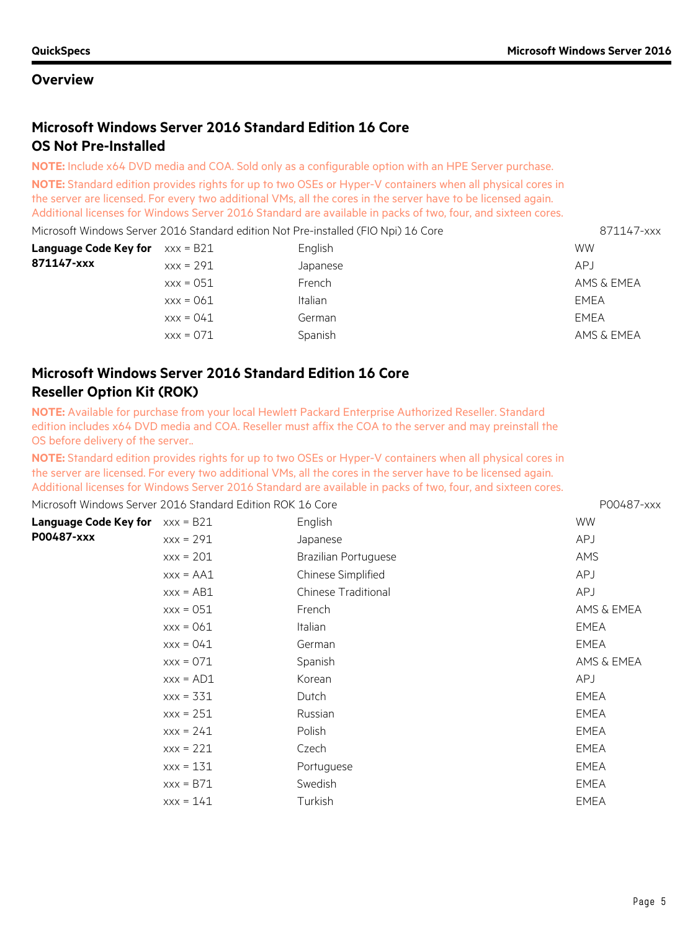# **Microsoft Windows Server 2016 Standard Edition 16 Core OS Not Pre-Installed**

**NOTE:** Include x64 DVD media and COA. Sold only as a configurable option with an HPE Server purchase.

**NOTE:** Standard edition provides rights for up to two OSEs or Hyper-V containers when all physical cores in the server are licensed. For every two additional VMs, all the cores in the server have to be licensed again. Additional licenses for Windows Server 2016 Standard are available in packs of two, four, and sixteen cores.

| Microsoft Windows Server 2016 Standard edition Not Pre-installed (FIO Npi) 16 Core |             | 871147-xxx     |             |
|------------------------------------------------------------------------------------|-------------|----------------|-------------|
| Language Code Key for                                                              | xxx = B21   | <b>WW</b>      |             |
| 871147-xxx                                                                         | $xxx = 291$ | Japanese       | APJ         |
|                                                                                    | $xxx = 051$ | French         | AMS & EMEA  |
|                                                                                    | $xxx = 061$ | <b>Italian</b> | EMEA        |
|                                                                                    | $xxx = 041$ | German         | <b>FMFA</b> |
|                                                                                    | $xxx = 071$ | Spanish        | AMS & EMEA  |

# **Microsoft Windows Server 2016 Standard Edition 16 Core Reseller Option Kit (ROK)**

**NOTE:** Available for purchase from your local Hewlett Packard Enterprise Authorized Reseller. Standard edition includes x64 DVD media and COA. Reseller must affix the COA to the server and may preinstall the OS before delivery of the server..

**NOTE:** Standard edition provides rights for up to two OSEs or Hyper-V containers when all physical cores in the server are licensed. For every two additional VMs, all the cores in the server have to be licensed again. Additional licenses for Windows Server 2016 Standard are available in packs of two, four, and sixteen cores.

Microsoft Windows Server 2016 Standard Edition ROK 16 Core **POO487-XXX** POO487-xxx

| Language Code Key for | $xxx = B21$  | English                    | <b>WW</b>   |
|-----------------------|--------------|----------------------------|-------------|
| P00487-xxx            | $XXX = 291$  | Japanese                   | <b>APJ</b>  |
|                       | $XXX = 201$  | Brazilian Portuguese       | AMS         |
|                       | $XXX = AAA1$ | Chinese Simplified         | <b>APJ</b>  |
|                       | $XXX = AB1$  | <b>Chinese Traditional</b> | <b>APJ</b>  |
|                       | $xxx = 051$  | French                     | AMS & EMEA  |
|                       | $XXX = 061$  | Italian                    | <b>EMEA</b> |
|                       | $XXX = 041$  | German                     | EMEA        |
|                       | $XXX = 071$  | Spanish                    | AMS & EMEA  |
|                       | $XXX = AD1$  | Korean                     | APJ         |
|                       | $XXX = 331$  | Dutch                      | EMEA        |
|                       | $XXX = 251$  | Russian                    | EMEA        |
|                       | $XXX = 241$  | Polish                     | EMEA        |
|                       | $XXX = 221$  | Czech                      | EMEA        |
|                       | $XXX = 131$  | Portuguese                 | <b>EMEA</b> |
|                       | $XXX = B71$  | Swedish                    | EMEA        |
|                       | $XXX = 141$  | Turkish                    | EMEA        |
|                       |              |                            |             |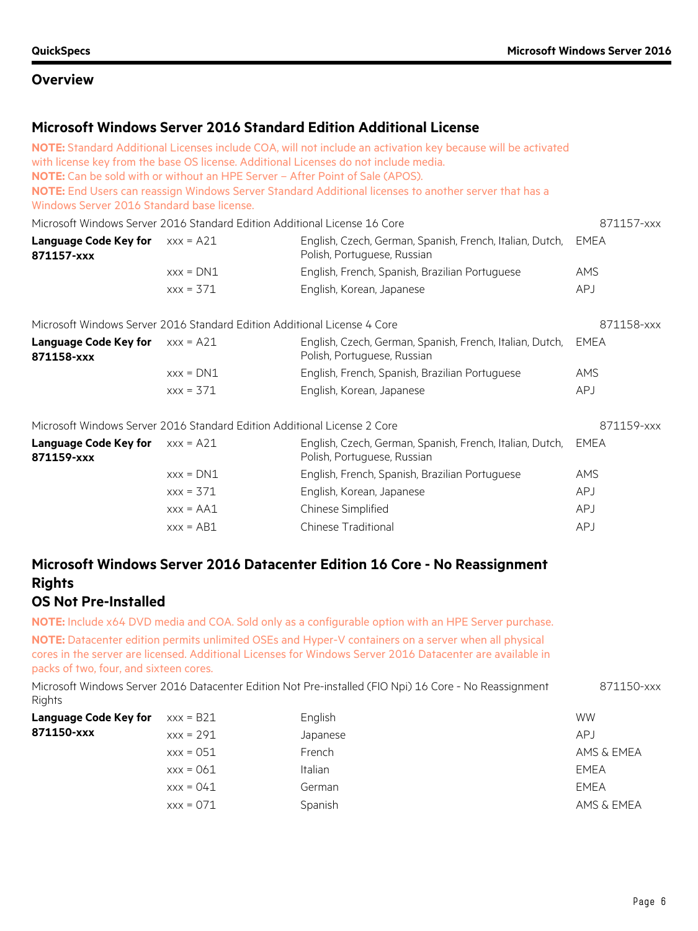### **Microsoft Windows Server 2016 Standard Edition Additional License**

| Windows Server 2016 Standard base license.                               |             | NOTE: Standard Additional Licenses include COA, will not include an activation key because will be activated<br>with license key from the base OS license. Additional Licenses do not include media.<br>NOTE: Can be sold with or without an HPE Server - After Point of Sale (APOS).<br>NOTE: End Users can reassign Windows Server Standard Additional licenses to another server that has a |             |
|--------------------------------------------------------------------------|-------------|------------------------------------------------------------------------------------------------------------------------------------------------------------------------------------------------------------------------------------------------------------------------------------------------------------------------------------------------------------------------------------------------|-------------|
|                                                                          |             | Microsoft Windows Server 2016 Standard Edition Additional License 16 Core                                                                                                                                                                                                                                                                                                                      | 871157-xxx  |
| <b>Language Code Key for</b><br>871157-xxx                               | $XXX = A21$ | English, Czech, German, Spanish, French, Italian, Dutch,<br>Polish, Portuguese, Russian                                                                                                                                                                                                                                                                                                        | EMEA        |
|                                                                          | $XXX = DNI$ | English, French, Spanish, Brazilian Portuguese                                                                                                                                                                                                                                                                                                                                                 | <b>AMS</b>  |
|                                                                          | $XXX = 371$ | English, Korean, Japanese                                                                                                                                                                                                                                                                                                                                                                      | <b>APJ</b>  |
| Microsoft Windows Server 2016 Standard Edition Additional License 4 Core |             |                                                                                                                                                                                                                                                                                                                                                                                                | 871158-xxx  |
| <b>Language Code Key for</b><br>871158-xxx                               | $xxx = A21$ | English, Czech, German, Spanish, French, Italian, Dutch,<br>Polish, Portuguese, Russian                                                                                                                                                                                                                                                                                                        | <b>EMEA</b> |
|                                                                          | $XXX = DNI$ | English, French, Spanish, Brazilian Portuguese                                                                                                                                                                                                                                                                                                                                                 | <b>AMS</b>  |
|                                                                          | $XXX = 371$ | English, Korean, Japanese                                                                                                                                                                                                                                                                                                                                                                      | <b>APJ</b>  |
| Microsoft Windows Server 2016 Standard Edition Additional License 2 Core |             |                                                                                                                                                                                                                                                                                                                                                                                                | 871159-xxx  |
| <b>Language Code Key for</b><br>871159-xxx                               | $xxx = A21$ | English, Czech, German, Spanish, French, Italian, Dutch,<br>Polish, Portuguese, Russian                                                                                                                                                                                                                                                                                                        | EMEA        |
|                                                                          | $XXX = DNI$ | English, French, Spanish, Brazilian Portuguese                                                                                                                                                                                                                                                                                                                                                 | <b>AMS</b>  |
|                                                                          | $XXX = 371$ | English, Korean, Japanese                                                                                                                                                                                                                                                                                                                                                                      | APJ         |
|                                                                          | $XXX = AA1$ | Chinese Simplified                                                                                                                                                                                                                                                                                                                                                                             | <b>APJ</b>  |
|                                                                          | $xxx = AB1$ | Chinese Traditional                                                                                                                                                                                                                                                                                                                                                                            | APJ         |
|                                                                          |             |                                                                                                                                                                                                                                                                                                                                                                                                |             |

# **Microsoft Windows Server 2016 Datacenter Edition 16 Core - No Reassignment Rights**

**OS Not Pre-Installed**

**NOTE:** Include x64 DVD media and COA. Sold only as a configurable option with an HPE Server purchase. **NOTE:** Datacenter edition permits unlimited OSEs and Hyper-V containers on a server when all physical cores in the server are licensed. Additional Licenses for Windows Server 2016 Datacenter are available in packs of two, four, and sixteen cores.

| Microsoft Windows Server 2016 Datacenter Edition Not Pre-installed (FIO Npi) 16 Core - No Reassignment | 871150-xxx |
|--------------------------------------------------------------------------------------------------------|------------|
| Rights                                                                                                 |            |

| <b>Language Code Key for</b> | $xxx = B21$ | English  | <b>WW</b>  |
|------------------------------|-------------|----------|------------|
| 871150-xxx                   | $xxx = 291$ | Japanese | APJ        |
|                              | $xxx = 051$ | French   | AMS & EMEA |
|                              | $xxx = 061$ | Italian  | EMEA       |
|                              | $XXX = 041$ | German   | EMEA       |
|                              | $xxx = 071$ | Spanish  | AMS & EMEA |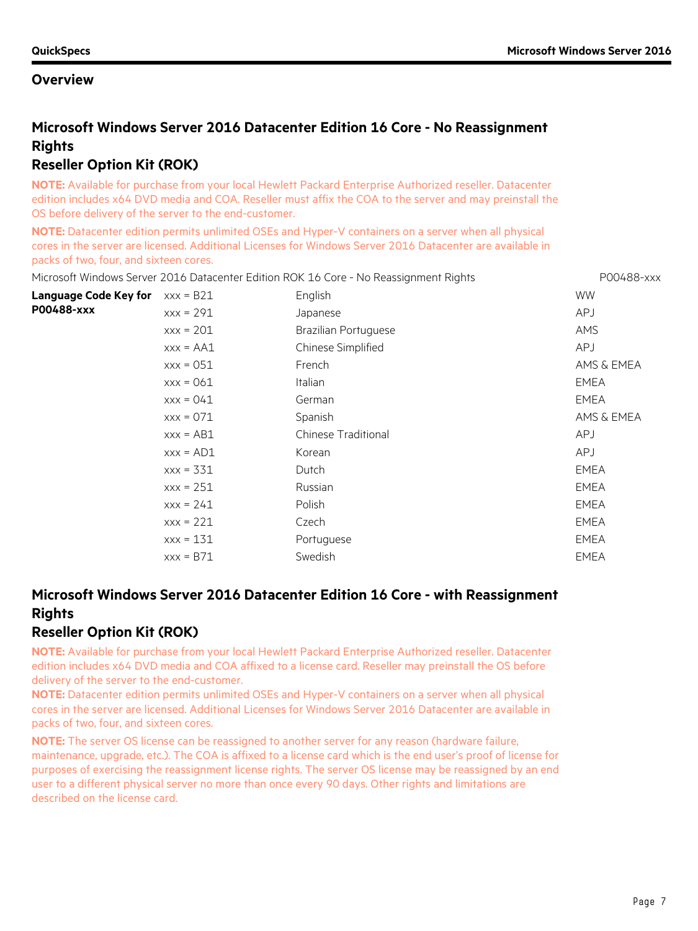# **Microsoft Windows Server 2016 Datacenter Edition 16 Core - No Reassignment Rights**

# **Reseller Option Kit (ROK)**

**NOTE:** Available for purchase from your local Hewlett Packard Enterprise Authorized reseller. Datacenter edition includes x64 DVD media and COA. Reseller must affix the COA to the server and may preinstall the OS before delivery of the server to the end-customer.

**NOTE:** Datacenter edition permits unlimited OSEs and Hyper-V containers on a server when all physical cores in the server are licensed. Additional Licenses for Windows Server 2016 Datacenter are available in packs of two, four, and sixteen cores.

|                                          |              | Microsoft Windows Server 2016 Datacenter Edition ROK 16 Core - No Reassignment Rights | P00488-xxx  |
|------------------------------------------|--------------|---------------------------------------------------------------------------------------|-------------|
| <b>Language Code Key for</b> $xxx = B21$ |              | English                                                                               | <b>WW</b>   |
| P00488-xxx                               | $XXX = 291$  | Japanese                                                                              | <b>APJ</b>  |
|                                          | $xxx = 201$  | <b>Brazilian Portuguese</b>                                                           | <b>AMS</b>  |
|                                          | $XXX = AAA1$ | Chinese Simplified                                                                    | <b>APJ</b>  |
|                                          | $xxx = 051$  | French                                                                                | AMS & EMEA  |
|                                          | $XXX = 061$  | <b>Italian</b>                                                                        | <b>EMEA</b> |
|                                          | $XXX = 041$  | German                                                                                | EMEA        |
|                                          | $XXX = 071$  | Spanish                                                                               | AMS & EMEA  |
|                                          | $XXX = AB1$  | <b>Chinese Traditional</b>                                                            | <b>APJ</b>  |
|                                          | $XXX = AD1$  | Korean                                                                                | APJ         |
|                                          | $XXX = 331$  | Dutch                                                                                 | EMEA        |
|                                          | $XXX = 251$  | Russian                                                                               | <b>EMEA</b> |
|                                          | $XXX = 241$  | Polish                                                                                | <b>EMEA</b> |
|                                          | $XXX = 221$  | Czech                                                                                 | EMEA        |
|                                          | $XXX = 131$  | Portuguese                                                                            | <b>EMEA</b> |
|                                          | $XXX = B71$  | Swedish                                                                               | <b>EMEA</b> |
|                                          |              |                                                                                       |             |

# **Microsoft Windows Server 2016 Datacenter Edition 16 Core - with Reassignment Rights**

## **Reseller Option Kit (ROK)**

**NOTE:** Available for purchase from your local Hewlett Packard Enterprise Authorized reseller. Datacenter edition includes x64 DVD media and COA affixed to a license card. Reseller may preinstall the OS before delivery of the server to the end-customer.

**NOTE:** Datacenter edition permits unlimited OSEs and Hyper-V containers on a server when all physical cores in the server are licensed. Additional Licenses for Windows Server 2016 Datacenter are available in packs of two, four, and sixteen cores.

**NOTE:** The server OS license can be reassigned to another server for any reason (hardware failure, maintenance, upgrade, etc.). The COA is affixed to a license card which is the end user's proof of license for purposes of exercising the reassignment license rights. The server OS license may be reassigned by an end user to a different physical server no more than once every 90 days. Other rights and limitations are described on the license card.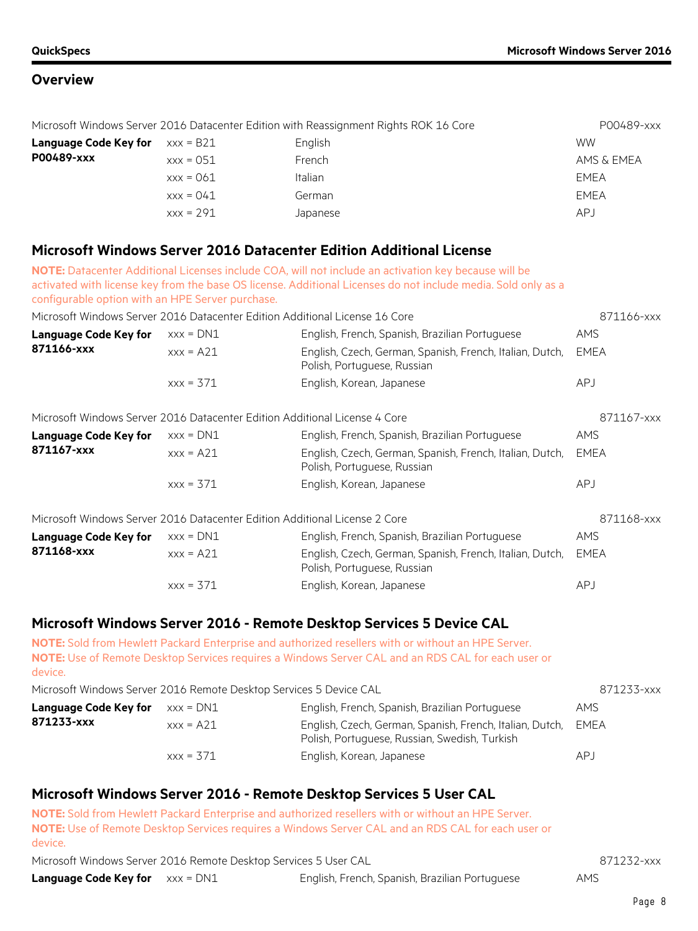| Microsoft Windows Server 2016 Datacenter Edition with Reassignment Rights ROK 16 Core |             |          | P00489-xxx  |
|---------------------------------------------------------------------------------------|-------------|----------|-------------|
| Language Code Key for                                                                 | xxx = B21   | English  | <b>WW</b>   |
| P00489-xxx                                                                            | $xxx = 051$ | French   | AMS & EMEA  |
|                                                                                       | $xxx = 061$ | Italian  | EMEA        |
|                                                                                       | $XXX = 041$ | German   | <b>EMEA</b> |
|                                                                                       | $xxx = 291$ | Japanese | APJ         |

### **Microsoft Windows Server 2016 Datacenter Edition Additional License**

| configurable option with an HPE Server purchase. |             | NOTE: Datacenter Additional Licenses include COA, will not include an activation key because will be<br>activated with license key from the base OS license. Additional Licenses do not include media. Sold only as a |             |
|--------------------------------------------------|-------------|-----------------------------------------------------------------------------------------------------------------------------------------------------------------------------------------------------------------------|-------------|
|                                                  |             | Microsoft Windows Server 2016 Datacenter Edition Additional License 16 Core                                                                                                                                           | 871166-xxx  |
| <b>Language Code Key for</b>                     | $XXX = DNI$ | English, French, Spanish, Brazilian Portuguese                                                                                                                                                                        | <b>AMS</b>  |
| 871166-xxx                                       | $XXX = A21$ | English, Czech, German, Spanish, French, Italian, Dutch,<br>Polish, Portuguese, Russian                                                                                                                               | <b>EMEA</b> |
|                                                  | $XXX = 371$ | English, Korean, Japanese                                                                                                                                                                                             | <b>APJ</b>  |
|                                                  |             | Microsoft Windows Server 2016 Datacenter Edition Additional License 4 Core                                                                                                                                            | 871167-xxx  |
| <b>Language Code Key for</b>                     | $XXX = DNI$ | English, French, Spanish, Brazilian Portuguese                                                                                                                                                                        | <b>AMS</b>  |
| 871167-xxx                                       | $xxx = A21$ | English, Czech, German, Spanish, French, Italian, Dutch,<br>Polish, Portuguese, Russian                                                                                                                               | <b>EMEA</b> |
|                                                  | $XXX = 371$ | English, Korean, Japanese                                                                                                                                                                                             | <b>APJ</b>  |
|                                                  |             | Microsoft Windows Server 2016 Datacenter Edition Additional License 2 Core                                                                                                                                            | 871168-xxx  |
| <b>Language Code Key for</b>                     | $XXX = DNI$ | English, French, Spanish, Brazilian Portuguese                                                                                                                                                                        | AMS         |
| 871168-xxx                                       | $XXX = A21$ | English, Czech, German, Spanish, French, Italian, Dutch,<br>Polish, Portuguese, Russian                                                                                                                               | <b>EMEA</b> |
|                                                  | $XXX = 371$ | English, Korean, Japanese                                                                                                                                                                                             | <b>APJ</b>  |

## **Microsoft Windows Server 2016 - Remote Desktop Services 5 Device CAL**

**NOTE:** Sold from Hewlett Packard Enterprise and authorized resellers with or without an HPE Server. **NOTE:** Use of Remote Desktop Services requires a Windows Server CAL and an RDS CAL for each user or device.

Microsoft Windows Server 2016 Remote Desktop Services 5 Device CAL 871233-xxx

| Language Code Key for | $xxx = DNI$ | English, French, Spanish, Brazilian Portuguese                                                                 | <b>AMS</b> |
|-----------------------|-------------|----------------------------------------------------------------------------------------------------------------|------------|
| 871233-xxx            | $xxx = A21$ | English, Czech, German, Spanish, French, Italian, Dutch, EMEA<br>Polish, Portuguese, Russian, Swedish, Turkish |            |
|                       | $xxx = 371$ | English, Korean, Japanese                                                                                      | AP J       |

## **Microsoft Windows Server 2016 - Remote Desktop Services 5 User CAL**

**NOTE:** Sold from Hewlett Packard Enterprise and authorized resellers with or without an HPE Server. **NOTE:** Use of Remote Desktop Services requires a Windows Server CAL and an RDS CAL for each user or device.

Microsoft Windows Server 2016 Remote Desktop Services 5 User CAL 871232-xxx

| Language Code Key for | xxx = DN1 |  |
|-----------------------|-----------|--|
|-----------------------|-----------|--|

English, French, Spanish, Brazilian Portuguese **AMS** 

Page 8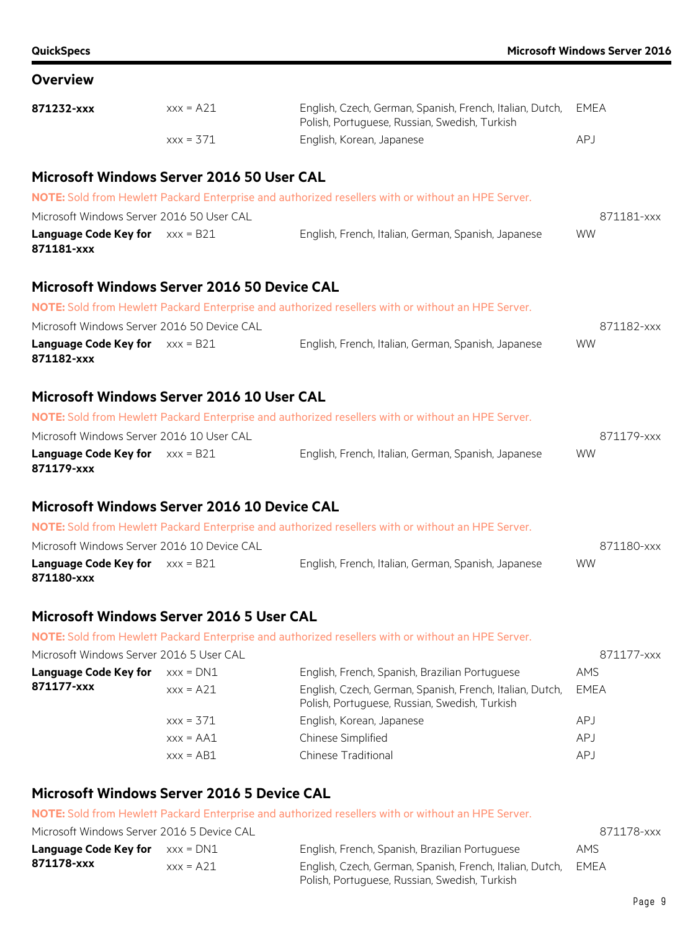| <b>QuickSpecs</b>                                      |             |                                                                                                           | <b>Microsoft Windows Server 2016</b> |
|--------------------------------------------------------|-------------|-----------------------------------------------------------------------------------------------------------|--------------------------------------|
| <b>Overview</b>                                        |             |                                                                                                           |                                      |
| 871232-xxx                                             | $xxx = A21$ | English, Czech, German, Spanish, French, Italian, Dutch,<br>Polish, Portuguese, Russian, Swedish, Turkish | <b>EMEA</b>                          |
|                                                        | $xxx = 371$ | English, Korean, Japanese                                                                                 | APJ                                  |
| Microsoft Windows Server 2016 50 User CAL              |             |                                                                                                           |                                      |
|                                                        |             | NOTE: Sold from Hewlett Packard Enterprise and authorized resellers with or without an HPE Server.        |                                      |
| Microsoft Windows Server 2016 50 User CAL              |             |                                                                                                           | 871181-xxx                           |
| <b>Language Code Key for</b> $xxx = B21$<br>871181-xxx |             | English, French, Italian, German, Spanish, Japanese                                                       | <b>WW</b>                            |
| <b>Microsoft Windows Server 2016 50 Device CAL</b>     |             |                                                                                                           |                                      |
|                                                        |             | NOTE: Sold from Hewlett Packard Enterprise and authorized resellers with or without an HPE Server.        |                                      |
| Microsoft Windows Server 2016 50 Device CAL            |             |                                                                                                           | 871182-xxx                           |
| <b>Language Code Key for</b> $xxx = B21$<br>871182-xxx |             | English, French, Italian, German, Spanish, Japanese                                                       | <b>WW</b>                            |
| Microsoft Windows Server 2016 10 User CAL              |             |                                                                                                           |                                      |
|                                                        |             | NOTE: Sold from Hewlett Packard Enterprise and authorized resellers with or without an HPE Server.        |                                      |
| Microsoft Windows Server 2016 10 User CAL              |             |                                                                                                           | 871179-xxx                           |
| <b>Language Code Key for</b> $xxx = B21$<br>871179-xxx |             | English, French, Italian, German, Spanish, Japanese                                                       | <b>WW</b>                            |
| Microsoft Windows Server 2016 10 Device CAL            |             |                                                                                                           |                                      |
|                                                        |             | NOTE: Sold from Hewlett Packard Enterprise and authorized resellers with or without an HPE Server.        |                                      |

| Microsoft Windows Server 2016 10 Device CAL |                                                     | 871180-xxx |
|---------------------------------------------|-----------------------------------------------------|------------|
| <b>Language Code Key for</b> $xxx = B21$    | English, French, Italian, German, Spanish, Japanese | <b>WW</b>  |
| 871180-xxx                                  |                                                     |            |

# **Microsoft Windows Server 2016 5 User CAL**

**NOTE:** Sold from Hewlett Packard Enterprise and authorized resellers with or without an HPE Server.

| Microsoft Windows Server 2016 5 User CAL |              |                                                                                                           | 871177-xxx |
|------------------------------------------|--------------|-----------------------------------------------------------------------------------------------------------|------------|
| <b>Language Code Key for</b>             | $xxx = DNI$  | English, French, Spanish, Brazilian Portuguese                                                            | AMS        |
| 871177-xxx                               | $xxx = A21$  | English, Czech, German, Spanish, French, Italian, Dutch,<br>Polish, Portuguese, Russian, Swedish, Turkish | EMEA       |
|                                          | $XXX = 371$  | English, Korean, Japanese                                                                                 | <b>APJ</b> |
|                                          | $XXX = AAA1$ | Chinese Simplified                                                                                        | APJ        |
|                                          | $xxx = AB1$  | <b>Chinese Traditional</b>                                                                                | <b>APJ</b> |

# **Microsoft Windows Server 2016 5 Device CAL**

**NOTE:** Sold from Hewlett Packard Enterprise and authorized resellers with or without an HPE Server.

| Microsoft Windows Server 2016 5 Device CAL |             |                                                          | 871178-xxx  |
|--------------------------------------------|-------------|----------------------------------------------------------|-------------|
| <b>Language Code Key for</b> $xxx = DNI$   |             | English, French, Spanish, Brazilian Portuguese           | AMS.        |
| 871178-xxx                                 | $xxx = A21$ | English, Czech, German, Spanish, French, Italian, Dutch, | <b>FMFA</b> |
|                                            |             | Polish, Portuguese, Russian, Swedish, Turkish            |             |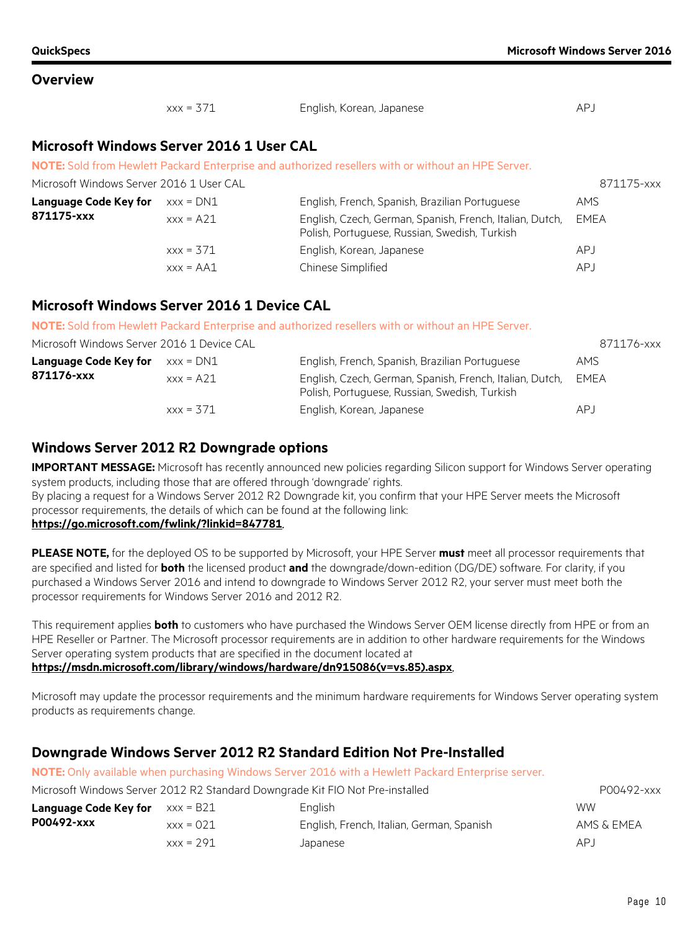| $XXX = 371$ | English, Korean, Japanese | AP. |
|-------------|---------------------------|-----|
|             |                           |     |

### **Microsoft Windows Server 2016 1 User CAL**

**NOTE:** Sold from Hewlett Packard Enterprise and authorized resellers with or without an HPE Server.

| Microsoft Windows Server 2016 1 User CAL |              |                                                                                                           | 871175-xxx |
|------------------------------------------|--------------|-----------------------------------------------------------------------------------------------------------|------------|
| Language Code Key for                    | xxx = DN1    | English, French, Spanish, Brazilian Portuguese                                                            | AMS        |
| 871175-xxx                               | $xxx = A21$  | English, Czech, German, Spanish, French, Italian, Dutch,<br>Polish, Portuguese, Russian, Swedish, Turkish | EMEA       |
|                                          | $xx = 371$   | English, Korean, Japanese                                                                                 | APJ        |
|                                          | $xxx = AAA1$ | Chinese Simplified                                                                                        | APJ        |

### **Microsoft Windows Server 2016 1 Device CAL**

**NOTE:** Sold from Hewlett Packard Enterprise and authorized resellers with or without an HPE Server.

| Microsoft Windows Server 2016 1 Device CAL |             |                                                                                                           | 871176-xxx |
|--------------------------------------------|-------------|-----------------------------------------------------------------------------------------------------------|------------|
| <b>Language Code Key for</b> $xxx = DNI$   |             | English, French, Spanish, Brazilian Portuguese                                                            | AMS        |
| 871176-xxx                                 | $xxx = A21$ | English, Czech, German, Spanish, French, Italian, Dutch,<br>Polish, Portuguese, Russian, Swedish, Turkish | EMEA       |
|                                            | $xx = 371$  | English, Korean, Japanese                                                                                 | APJ        |

### **Windows Server 2012 R2 Downgrade options**

**IMPORTANT MESSAGE:** Microsoft has recently announced new policies regarding Silicon support for Windows Server operating system products, including those that are offered through 'downgrade' rights.

By placing a request for a Windows Server 2012 R2 Downgrade kit, you confirm that your HPE Server meets the Microsoft processor requirements, the details of which can be found at the following link:

### **https://go.microsoft.com/fwlink/?linkid=847781**.

**PLEASE NOTE,** for the deployed OS to be supported by Microsoft, your HPE Server **must** meet all processor requirements that are specified and listed for **both** the licensed product **and** the downgrade/down-edition (DG/DE) software. For clarity, if you purchased a Windows Server 2016 and intend to downgrade to Windows Server 2012 R2, your server must meet both the processor requirements for Windows Server 2016 and 2012 R2.

This requirement applies **both** to customers who have purchased the Windows Server OEM license directly from HPE or from an HPE Reseller or Partner. The Microsoft processor requirements are in addition to other hardware requirements for the Windows Server operating system products that are specified in the document located at **https://msdn.microsoft.com/library/windows/hardware/dn915086(v=vs.85).aspx**.

Microsoft may update the processor requirements and the minimum hardware requirements for Windows Server operating system products as requirements change.

## **Downgrade Windows Server 2012 R2 Standard Edition Not Pre-Installed**

**NOTE:** Only available when purchasing Windows Server 2016 with a Hewlett Packard Enterprise server.

| Microsoft Windows Server 2012 R2 Standard Downgrade Kit FIO Not Pre-installed |             |                                           | P00492-xxx |
|-------------------------------------------------------------------------------|-------------|-------------------------------------------|------------|
| <b>Language Code Key for</b> $xxx = B21$                                      |             | <b>English</b>                            | <b>WW</b>  |
| P00492-xxx<br>$xxx = 0.21$                                                    |             | English, French, Italian, German, Spanish | AMS & EMEA |
|                                                                               | $xxx = 291$ | Japanese                                  | AP.J       |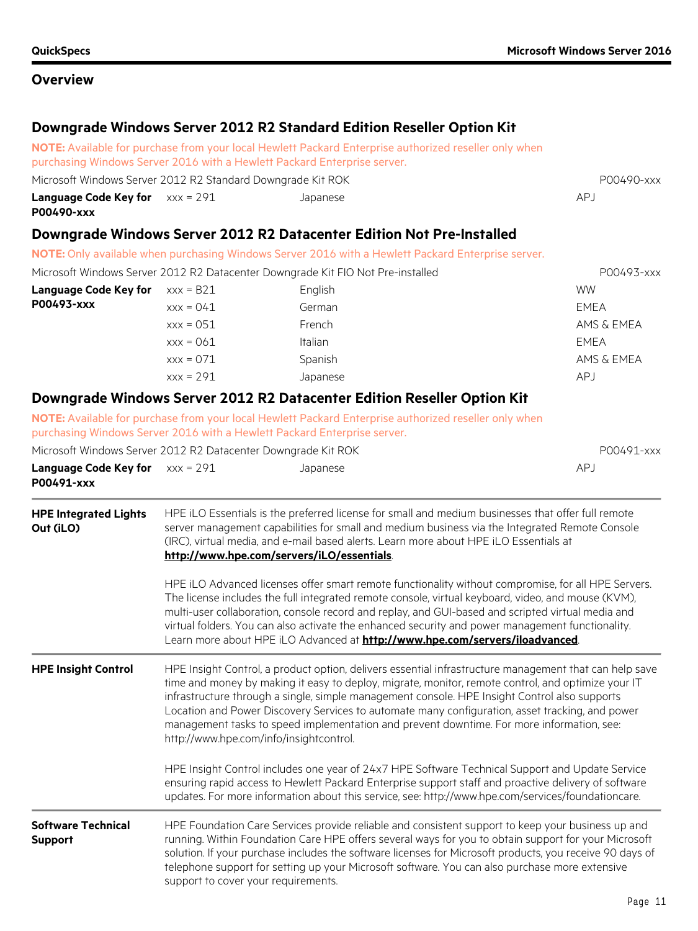# **Downgrade Windows Server 2012 R2 Standard Edition Reseller Option Kit**

**NOTE:** Available for purchase from your local Hewlett Packard Enterprise authorized reseller only when purchasing Windows Server 2016 with a Hewlett Packard Enterprise server. Microsoft Windows Server 2012 R2 Standard Downgrade Kit ROK POOL Processes and the P00490-xxx **Language Code Key for**  $xxx = 291$ **P00490-xxx** xxx = 291 Japanese APJ **Downgrade Windows Server 2012 R2 Datacenter Edition Not Pre-Installed NOTE:** Only available when purchasing Windows Server 2016 with a Hewlett Packard Enterprise server. Microsoft Windows Server 2012 R2 Datacenter Downgrade Kit FIO Not Pre-installed POO493-xxx **Language Code Key for**  $\quad \times x \times = 821$  English English WW **P00493-xxx** xxx = 041 German EMEA xxx = 051 French French AMS & EMEA xxx = 061 Italian Italian EMEA xxx = 071 Spanish Spanish AMS & EMEA xxx = 291 Japanese APJ **Downgrade Windows Server 2012 R2 Datacenter Edition Reseller Option Kit NOTE:** Available for purchase from your local Hewlett Packard Enterprise authorized reseller only when purchasing Windows Server 2016 with a Hewlett Packard Enterprise server. Microsoft Windows Server 2012 R2 Datacenter Downgrade Kit ROK POOL Processes and P00491-xxx **Language Code Key for**  $xxx = 291$ **P00491-xxx** xxx = 291 Japanese APJ **HPE Integrated Lights Out (iLO)** HPE iLO Essentials is the preferred license for small and medium businesses that offer full remote server management capabilities for small and medium business via the Integrated Remote Console (IRC), virtual media, and e-mail based alerts. Learn more about HPE iLO Essentials at **<http://www.hpe.com/servers/iLO/essentials>**. HPE iLO Advanced licenses offer smart remote functionality without compromise, for all HPE Servers. The license includes the full integrated remote console, virtual keyboard, video, and mouse (KVM), multi-user collaboration, console record and replay, and GUI-based and scripted virtual media and virtual folders. You can also activate the enhanced security and power management functionality. Learn more about HPE iLO Advanced at **<http://www.hpe.com/servers/iloadvanced>**. **HPE Insight Control** HPE Insight Control, a product option, delivers essential infrastructure management that can help save time and money by making it easy to deploy, migrate, monitor, remote control, and optimize your IT infrastructure through a single, simple management console. HPE Insight Control also supports Location and Power Discovery Services to automate many configuration, asset tracking, and power management tasks to speed implementation and prevent downtime. For more information, see: http://www.hpe.com/info/insightcontrol. HPE Insight Control includes one year of 24x7 HPE Software Technical Support and Update Service ensuring rapid access to Hewlett Packard Enterprise support staff and proactive delivery of software updates. For more information about this service, see: http://www.hpe.com/services/foundationcare.

#### **Software Technical Support** HPE Foundation Care Services provide reliable and consistent support to keep your business up and running. Within Foundation Care HPE offers several ways for you to obtain support for your Microsoft solution. If your purchase includes the software licenses for Microsoft products, you receive 90 days of telephone support for setting up your Microsoft software. You can also purchase more extensive support to cover your requirements.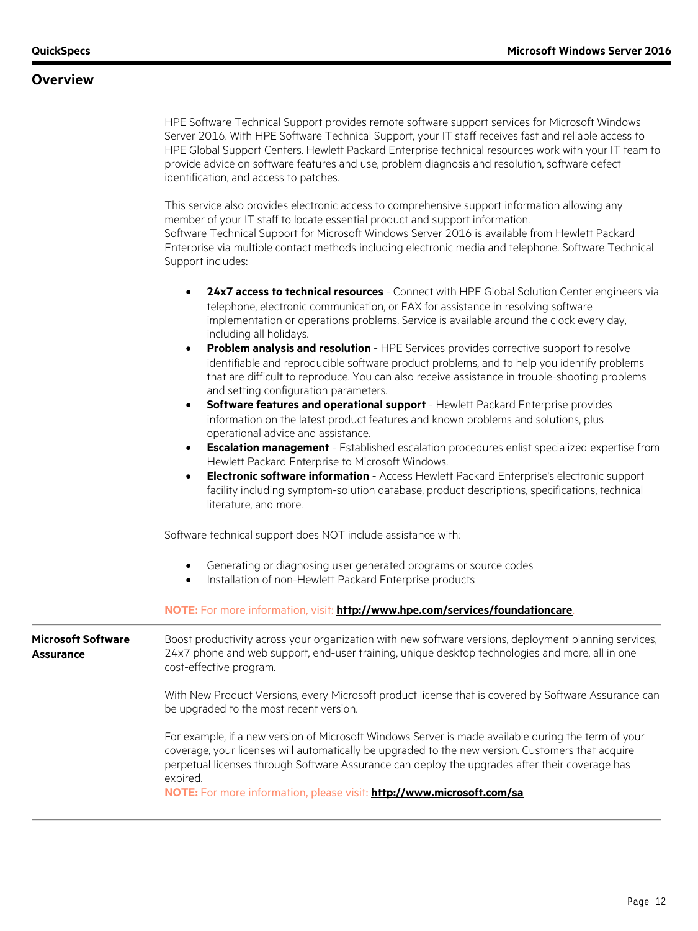HPE Software Technical Support provides remote software support services for Microsoft Windows Server 2016. With HPE Software Technical Support, your IT staff receives fast and reliable access to HPE Global Support Centers. Hewlett Packard Enterprise technical resources work with your IT team to provide advice on software features and use, problem diagnosis and resolution, software defect identification, and access to patches.

This service also provides electronic access to comprehensive support information allowing any member of your IT staff to locate essential product and support information. Software Technical Support for Microsoft Windows Server 2016 is available from Hewlett Packard Enterprise via multiple contact methods including electronic media and telephone. Software Technical Support includes:

- **24x7 access to technical resources** Connect with HPE Global Solution Center engineers via telephone, electronic communication, or FAX for assistance in resolving software implementation or operations problems. Service is available around the clock every day, including all holidays.
- **Problem analysis and resolution** HPE Services provides corrective support to resolve identifiable and reproducible software product problems, and to help you identify problems that are difficult to reproduce. You can also receive assistance in trouble-shooting problems and setting configuration parameters.
- **Software features and operational support** Hewlett Packard Enterprise provides information on the latest product features and known problems and solutions, plus operational advice and assistance.
- **Escalation management** Established escalation procedures enlist specialized expertise from Hewlett Packard Enterprise to Microsoft Windows.
- **Electronic software information** Access Hewlett Packard Enterprise's electronic support facility including symptom-solution database, product descriptions, specifications, technical literature, and more.

Software technical support does NOT include assistance with:

- Generating or diagnosing user generated programs or source codes
- Installation of non-Hewlett Packard Enterprise products

### **NOTE:** For more information, visit: **<http://www.hpe.com/services/foundationcare>**.

**Microsoft Software Assurance** Boost productivity across your organization with new software versions, deployment planning services, 24x7 phone and web support, end-user training, unique desktop technologies and more, all in one cost-effective program.

> With New Product Versions, every Microsoft product license that is covered by Software Assurance can be upgraded to the most recent version.

For example, if a new version of Microsoft Windows Server is made available during the term of your coverage, your licenses will automatically be upgraded to the new version. Customers that acquire perpetual licenses through Software Assurance can deploy the upgrades after their coverage has expired.

**NOTE:** For more information, please visit: **<http://www.microsoft.com/sa>**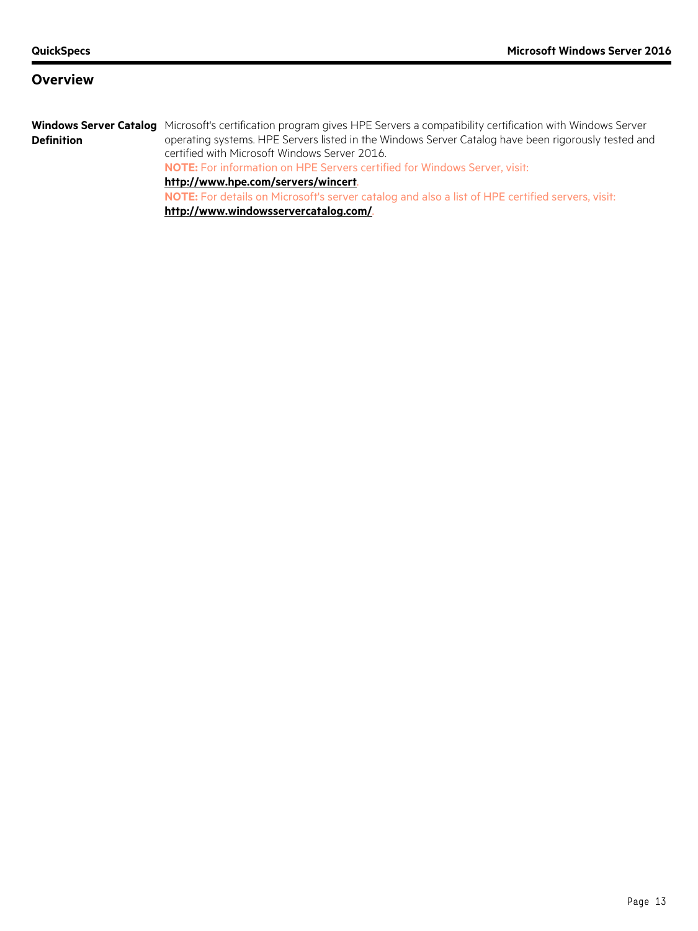Windows Server Catalog Microsoft's certification program gives HPE Servers a compatibility certification with Windows Server **Definition** operating systems. HPE Servers listed in the Windows Server Catalog have been rigorously tested and certified with Microsoft Windows Server 2016.

**NOTE:** For information on HPE Servers certified for Windows Server, visit:

### **<http://www.hpe.com/servers/wincert>**.

**NOTE:** For details on Microsoft's server catalog and also a list of HPE certified servers, visit: **<http://www.windowsservercatalog.com/>**.